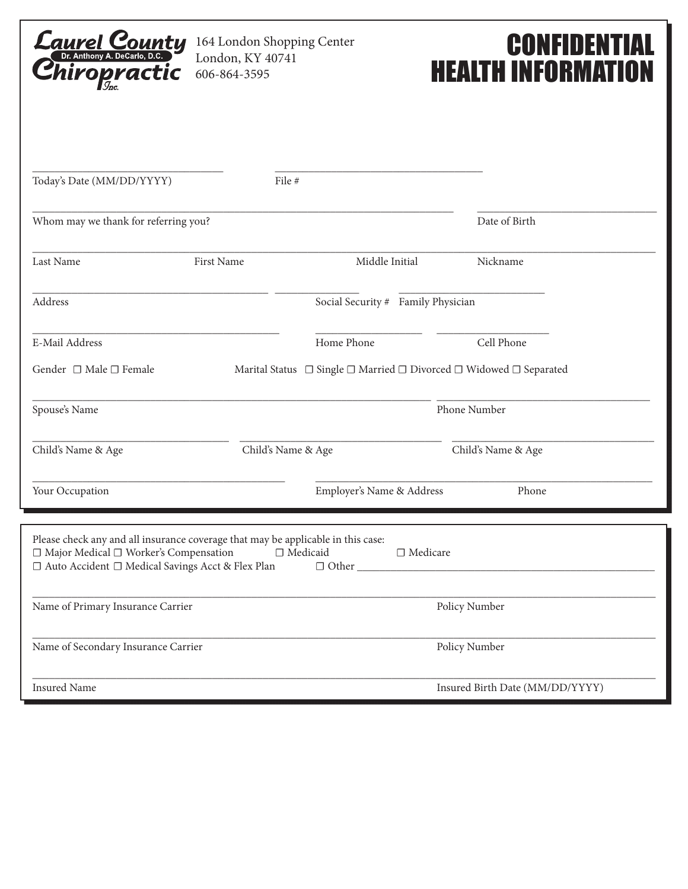

164 London Shopping Center London, KY 40741 606-864-3595

## **CONFIDENTIAL** HEALTH INFORMATION

| Today's Date (MM/DD/YYYY)                                                                                                                                                         | File #             |                                                                    |                                 |
|-----------------------------------------------------------------------------------------------------------------------------------------------------------------------------------|--------------------|--------------------------------------------------------------------|---------------------------------|
| Whom may we thank for referring you?                                                                                                                                              |                    |                                                                    | Date of Birth                   |
| Last Name                                                                                                                                                                         | First Name         | Middle Initial                                                     | Nickname                        |
| Address                                                                                                                                                                           |                    | Social Security # Family Physician                                 |                                 |
| E-Mail Address                                                                                                                                                                    |                    | Home Phone                                                         | Cell Phone                      |
| Gender $\Box$ Male $\Box$ Female                                                                                                                                                  |                    | Marital Status □ Single □ Married □ Divorced □ Widowed □ Separated |                                 |
| Spouse's Name                                                                                                                                                                     |                    |                                                                    | Phone Number                    |
| Child's Name & Age                                                                                                                                                                | Child's Name & Age |                                                                    | Child's Name & Age              |
| Your Occupation                                                                                                                                                                   |                    | Employer's Name & Address                                          | Phone                           |
| Please check any and all insurance coverage that may be applicable in this case:<br>□ Major Medical □ Worker's Compensation<br>□ Auto Accident □ Medical Savings Acct & Flex Plan | $\Box$ Medicaid    | □ Medicare                                                         |                                 |
| Name of Primary Insurance Carrier                                                                                                                                                 |                    |                                                                    | Policy Number                   |
| Name of Secondary Insurance Carrier                                                                                                                                               |                    |                                                                    | Policy Number                   |
| <b>Insured Name</b>                                                                                                                                                               |                    |                                                                    | Insured Birth Date (MM/DD/YYYY) |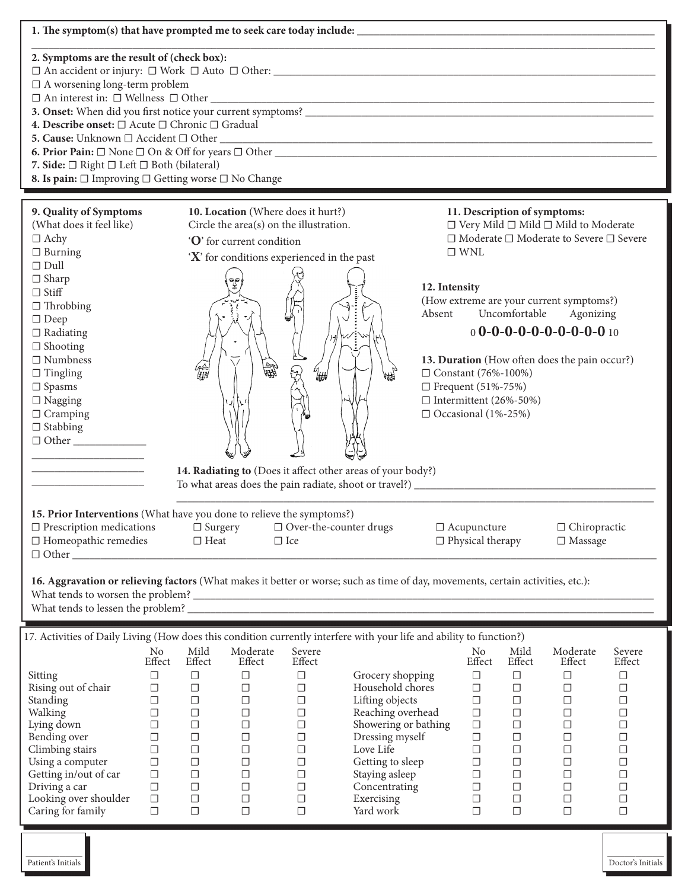| 1. The symptom(s) that have prompted me to seek care today include:                                                                                                                                                                                                                                                                                        |                                                                                                                                |                                                                                                                                |                                                                                                                                                          |                                                                                                                                |                                                                                                                                                                                                                        |                                                                                                        |                                                                                                                           |                                                                                                                                |                                                                                                                                                                                                                                                                                         |                                                                                                                                |
|------------------------------------------------------------------------------------------------------------------------------------------------------------------------------------------------------------------------------------------------------------------------------------------------------------------------------------------------------------|--------------------------------------------------------------------------------------------------------------------------------|--------------------------------------------------------------------------------------------------------------------------------|----------------------------------------------------------------------------------------------------------------------------------------------------------|--------------------------------------------------------------------------------------------------------------------------------|------------------------------------------------------------------------------------------------------------------------------------------------------------------------------------------------------------------------|--------------------------------------------------------------------------------------------------------|---------------------------------------------------------------------------------------------------------------------------|--------------------------------------------------------------------------------------------------------------------------------|-----------------------------------------------------------------------------------------------------------------------------------------------------------------------------------------------------------------------------------------------------------------------------------------|--------------------------------------------------------------------------------------------------------------------------------|
| 2. Symptoms are the result of (check box):<br>$\Box$ A worsening long-term problem<br>4. Describe onset: □ Acute □ Chronic □ Gradual<br>5. Cause: Unknown $\Box$ Accident $\Box$ Other<br>7. Side: □ Right □ Left □ Both (bilateral)<br>8. Is pain: □ Improving □ Getting worse □ No Change<br><u> 1989 - Johann Stein, marwolaethau a bhannaich an t-</u> |                                                                                                                                |                                                                                                                                |                                                                                                                                                          |                                                                                                                                |                                                                                                                                                                                                                        |                                                                                                        |                                                                                                                           |                                                                                                                                |                                                                                                                                                                                                                                                                                         |                                                                                                                                |
| 9. Quality of Symptoms<br>(What does it feel like)<br>$\Box$ Achy<br>$\Box$ Burning<br>$\Box$ Dull<br>$\Box$ Sharp<br>$\Box$ Stiff<br>$\Box$ Throbbing<br>$\Box$ Deep<br>$\Box$ Radiating<br>$\Box$ Shooting<br>$\Box$ Numbness<br>$\Box$ Tingling<br>$\square$ Spasms<br>$\Box$ Nagging<br>$\Box$ Cramping<br>$\Box$ Stabbing<br>$\Box$ Other             |                                                                                                                                |                                                                                                                                | 10. Location (Where does it hurt?)<br>Circle the area(s) on the illustration.<br>'O' for current condition<br>'X' for conditions experienced in the past | t<br>a∰                                                                                                                        | 14. Radiating to (Does it affect other areas of your body?)                                                                                                                                                            | 12. Intensity<br>Absent<br>□ Constant (76%-100%)<br>□ Frequent (51%-75%)<br>$\Box$ Occasional (1%-25%) | $\Box$ WNL                                                                                                                | Uncomfortable<br>$\Box$ Intermittent (26%-50%)                                                                                 | 11. Description of symptoms:<br>$\Box$ Very Mild $\Box$ Mild $\Box$ Mild to Moderate<br>$\Box$ Moderate $\Box$ Moderate to Severe $\Box$ Severe<br>(How extreme are your current symptoms?)<br>Agonizing<br>$0$ 0-0-0-0-0-0-0-0-0-0 10<br>13. Duration (How often does the pain occur?) |                                                                                                                                |
| 15. Prior Interventions (What have you done to relieve the symptoms?)<br>$\square$ Prescription medications<br>$\Box$ Homeopathic remedies<br>$\Box$ Other                                                                                                                                                                                                 |                                                                                                                                | $\Box$ Surgery<br>$\Box$ Heat                                                                                                  |                                                                                                                                                          | $\Box$ Ice                                                                                                                     | $\Box$ Over-the-counter drugs                                                                                                                                                                                          |                                                                                                        | $\Box$ Acupuncture<br>$\Box$ Physical therapy                                                                             |                                                                                                                                | $\Box$ Chiropractic<br>$\Box$ Massage                                                                                                                                                                                                                                                   |                                                                                                                                |
| 16. Aggravation or relieving factors (What makes it better or worse; such as time of day, movements, certain activities, etc.):                                                                                                                                                                                                                            |                                                                                                                                |                                                                                                                                |                                                                                                                                                          |                                                                                                                                |                                                                                                                                                                                                                        |                                                                                                        |                                                                                                                           |                                                                                                                                |                                                                                                                                                                                                                                                                                         |                                                                                                                                |
| 17. Activities of Daily Living (How does this condition currently interfere with your life and ability to function?)                                                                                                                                                                                                                                       |                                                                                                                                |                                                                                                                                |                                                                                                                                                          |                                                                                                                                |                                                                                                                                                                                                                        |                                                                                                        |                                                                                                                           |                                                                                                                                |                                                                                                                                                                                                                                                                                         |                                                                                                                                |
|                                                                                                                                                                                                                                                                                                                                                            | No                                                                                                                             | Mild                                                                                                                           | Moderate                                                                                                                                                 | Severe                                                                                                                         |                                                                                                                                                                                                                        |                                                                                                        | No                                                                                                                        | Mild                                                                                                                           | Moderate                                                                                                                                                                                                                                                                                | Severe                                                                                                                         |
| Sitting<br>Rising out of chair<br>Standing<br>Walking<br>Lying down<br>Bending over<br>Climbing stairs<br>Using a computer<br>Getting in/out of car<br>Driving a car<br>Looking over shoulder<br>Caring for family                                                                                                                                         | Effect<br>$\Box$<br>$\Box$<br>$\Box$<br>$\Box$<br>$\Box$<br>$\Box$<br>$\Box$<br>$\Box$<br>$\Box$<br>$\Box$<br>$\Box$<br>$\Box$ | Effect<br>$\Box$<br>$\Box$<br>$\Box$<br>$\Box$<br>$\Box$<br>$\Box$<br>$\Box$<br>$\Box$<br>$\Box$<br>$\Box$<br>$\Box$<br>$\Box$ | Effect<br>$\Box$<br>$\Box$<br>$\Box$<br>$\Box$<br>$\Box$<br>$\Box$<br>$\Box$<br>$\Box$<br>$\Box$<br>$\Box$<br>$\Box$<br>$\Box$                           | Effect<br>$\Box$<br>$\Box$<br>$\Box$<br>$\Box$<br>$\Box$<br>$\Box$<br>$\Box$<br>$\Box$<br>$\Box$<br>$\Box$<br>$\Box$<br>$\Box$ | Grocery shopping<br>Household chores<br>Lifting objects<br>Reaching overhead<br>Showering or bathing<br>Dressing myself<br>Love Life<br>Getting to sleep<br>Staying asleep<br>Concentrating<br>Exercising<br>Yard work |                                                                                                        | Effect<br>$\Box$<br>$\Box$<br>$\Box$<br>$\Box$<br>$\Box$<br>$\Box$<br>□<br>$\Box$<br>$\Box$<br>$\Box$<br>$\Box$<br>$\Box$ | Effect<br>$\Box$<br>$\Box$<br>$\Box$<br>$\Box$<br>$\Box$<br>$\Box$<br>$\Box$<br>$\Box$<br>$\Box$<br>$\Box$<br>$\Box$<br>$\Box$ | Effect<br>$\Box$<br>$\Box$<br>$\Box$<br>$\Box$<br>$\Box$<br>$\Box$<br>$\Box$<br>$\Box$<br>$\Box$<br>$\Box$<br>$\Box$<br>$\Box$                                                                                                                                                          | Effect<br>$\Box$<br>$\Box$<br>$\Box$<br>$\Box$<br>$\Box$<br>$\Box$<br>$\Box$<br>$\Box$<br>$\Box$<br>$\Box$<br>$\Box$<br>$\Box$ |
|                                                                                                                                                                                                                                                                                                                                                            |                                                                                                                                |                                                                                                                                |                                                                                                                                                          |                                                                                                                                |                                                                                                                                                                                                                        |                                                                                                        |                                                                                                                           |                                                                                                                                |                                                                                                                                                                                                                                                                                         |                                                                                                                                |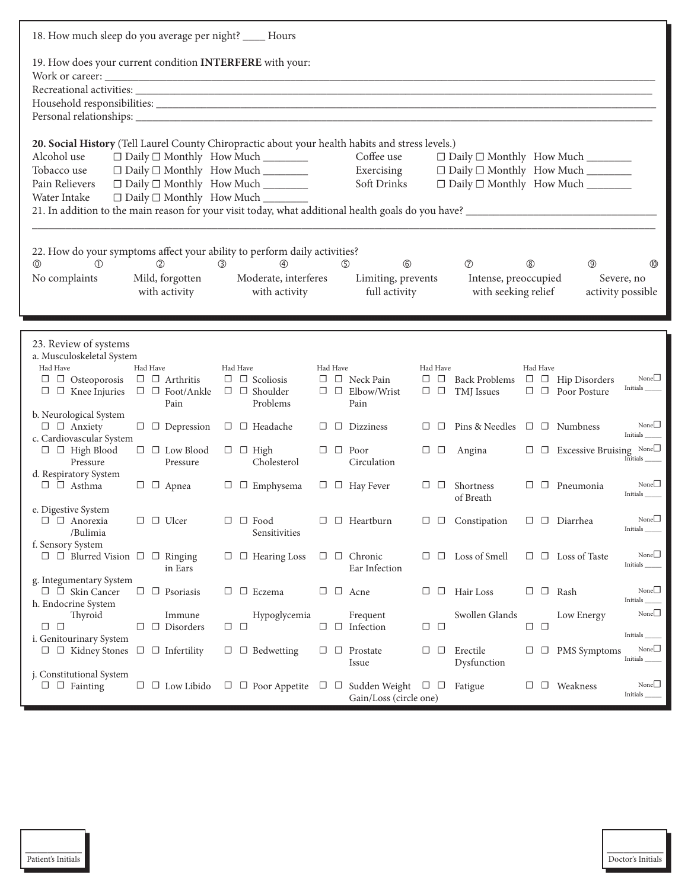| 18. How much sleep do you average per night? _____ Hours                                                                                                         |                                                                         |                                                                                                                |          |                                                                      |                           |                                                                                                                  |                  |                                              |                                                   |
|------------------------------------------------------------------------------------------------------------------------------------------------------------------|-------------------------------------------------------------------------|----------------------------------------------------------------------------------------------------------------|----------|----------------------------------------------------------------------|---------------------------|------------------------------------------------------------------------------------------------------------------|------------------|----------------------------------------------|---------------------------------------------------|
| 19. How does your current condition INTERFERE with your:                                                                                                         |                                                                         |                                                                                                                |          |                                                                      |                           |                                                                                                                  |                  |                                              |                                                   |
| 20. Social History (Tell Laurel County Chiropractic about your health habits and stress levels.)<br>Alcohol use<br>Tobacco use<br>Pain Relievers<br>Water Intake |                                                                         | □ Daily □ Monthly How Much _______<br>□ Daily □ Monthly How Much _______<br>□ Daily □ Monthly How Much _______ |          | Coffee use<br>Exercising<br>Soft Drinks                              |                           | □ Daily □ Monthly How Much _______<br>□ Daily □ Monthly How Much _______<br>$\Box$ Daily $\Box$ Monthly How Much |                  |                                              |                                                   |
| 22. How do your symptoms affect your ability to perform daily activities?<br>$^{\circ}$<br>$\circled{1}$<br>No complaints                                        | $^{\circledR}$<br>Mild, forgotten<br>with activity                      | $\circled{4}$<br>(3)<br>Moderate, interferes<br>with activity                                                  |          | $\circledcirc$<br>$\circledS$<br>Limiting, prevents<br>full activity |                           | $\circledcirc$<br>Intense, preoccupied<br>with seeking relief                                                    | $^{\circledR}$   | $\circledcirc$                               | $^{\circledR}$<br>Severe, no<br>activity possible |
| 23. Review of systems<br>a. Musculoskeletal System<br>Had Have<br>$\Box$ $\Box$ Osteoporosis<br>$\Box$ $\Box$ Knee Injuries                                      | Had Have<br>$\Box$ $\Box$ Arthritis<br>$\Box$ $\Box$ Foot/Ankle<br>Pain | Had Have<br>$\Box$ $\Box$ Scoliosis<br>$\Box$ $\Box$ Shoulder<br>Problems                                      | Had Have | $\Box$ $\Box$ Neck Pain<br>$\Box$ $\Box$ Elbow/Wrist<br>Pain         | Had Have<br>$\Box$ $\Box$ | Back Problems $\Box$ $\Box$ Hip Disorders<br>$\square$ $\square$ TMJ Issues                                      | Had Have         | $\Box$ Poor Posture                          | None $\square$<br>Initials_                       |
| b. Neurological System<br>$\Box$ $\Box$ Anxiety<br>c. Cardiovascular System<br>$\Box$ $\Box$ High Blood<br>Pressure                                              | $\Box$ $\Box$ Depression<br>$\Box$ $\Box$ Low Blood                     | $\Box$ Headache<br>$\Box$ $\Box$ High<br>Cholesterol                                                           | □        | $\Box$ Dizziness<br>$\Box$ $\Box$ Poor<br>Circulation                | □□<br>$\Box$ $\Box$       | Pins & Needles $\Box$ $\Box$ Numbness<br>Angina                                                                  |                  | $\Box$ $\Box$ Excessive Bruising None $\Box$ | None $\square$<br>Initials<br>Initials            |
| d. Respiratory System<br>$\Box$ $\Box$ Asthma                                                                                                                    | Pressure<br>$\Box$ $\Box$ Apnea                                         | $\Box$ $\Box$ Emphysema                                                                                        |          | $\Box$ $\Box$ Hay Fever                                              | $\Box$ $\Box$             | Shortness<br>of Breath                                                                                           |                  | $\Box$ $\Box$ Pneumonia                      | None $\Box$<br>Initials                           |
| e. Digestive System<br>$\Box$ $\Box$ Anorexia<br>/Bulimia<br>f. Sensory System                                                                                   | $\Box$ $\Box$ Ulcer                                                     | $\Box$ Food<br>□<br>Sensitivities                                                                              |          | $\Box$ Heartburn                                                     | $\Box$ $\Box$             | Constipation                                                                                                     |                  | $\square$ $\square$ Diarrhea                 | None $\square$<br>Initials_                       |
| $\Box$ $\Box$ Blurred Vision $\Box$ $\Box$ Ringing                                                                                                               | in Ears                                                                 | $\Box$ Hearing Loss<br>⊔                                                                                       |          | $\Box$ $\Box$ Chronic<br>Ear Infection                               | $\Box$                    | $\Box$ Loss of Smell                                                                                             |                  | $\Box$ $\Box$ Loss of Taste                  | None $\Box$<br>Initials_                          |
| g. Integumentary System<br>$\Box$ Skin Cancer<br>h. Endocrine System                                                                                             | $\Box$ Psoriasis                                                        | $\Box$ Eczema<br>◡                                                                                             |          | $\Box$ $\Box$ Acne                                                   | ⊔<br>⊔                    | Hair Loss                                                                                                        |                  | $\square$ $\square$ Rash                     | None $\square$<br>Initials                        |
| Thyroid<br>$\Box$ $\Box$<br>i. Genitourinary System                                                                                                              | Immune<br>$\Box$ Disorders<br>□                                         | Hypoglycemia<br>$\Box$ $\Box$                                                                                  | □        | Frequent<br>$\Box$ Infection                                         | $\Box$ $\Box$             | Swollen Glands                                                                                                   | $\Box$<br>$\Box$ | Low Energy                                   | None $\square$<br>Initials                        |
| $\Box$ $\Box$ Kidney Stones $\Box$ $\Box$ Infertility                                                                                                            |                                                                         | $\Box$ $\Box$ Bedwetting                                                                                       | $\Box$   | $\Box$ Prostate<br>Issue                                             | $\Box$<br>⊔               | Erectile<br>Dysfunction                                                                                          | $\Box$           | $\Box$ PMS Symptoms                          | None $\Box$<br>Initials_                          |
| j. Constitutional System<br>$\Box$ $\Box$ Fainting                                                                                                               | $\Box$ Low Libido<br>$\Box$                                             | $\Box$ $\Box$ Poor Appetite                                                                                    | □□       | Sudden Weight $\Box$ $\Box$ Fatigue<br>Gain/Loss (circle one)        |                           |                                                                                                                  | ⊔                | $\Box$ Weakness                              | None $\Box$<br>Initials                           |